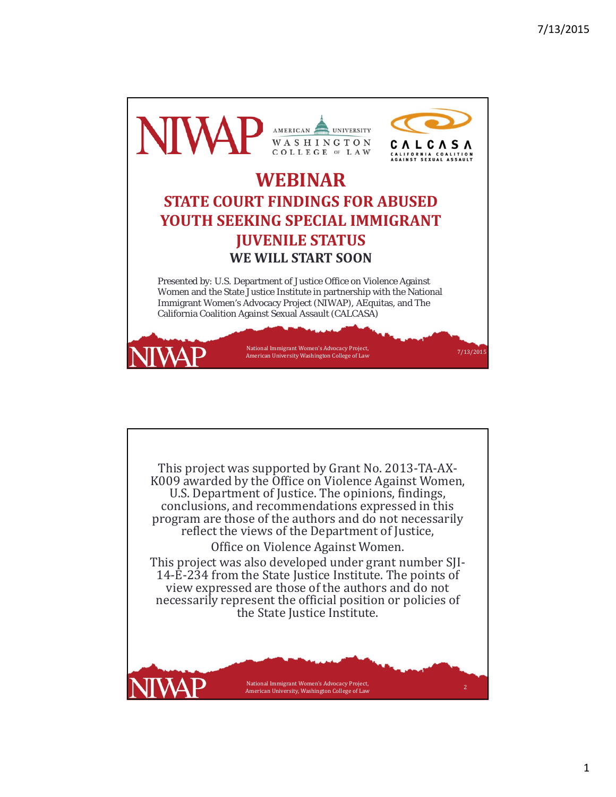

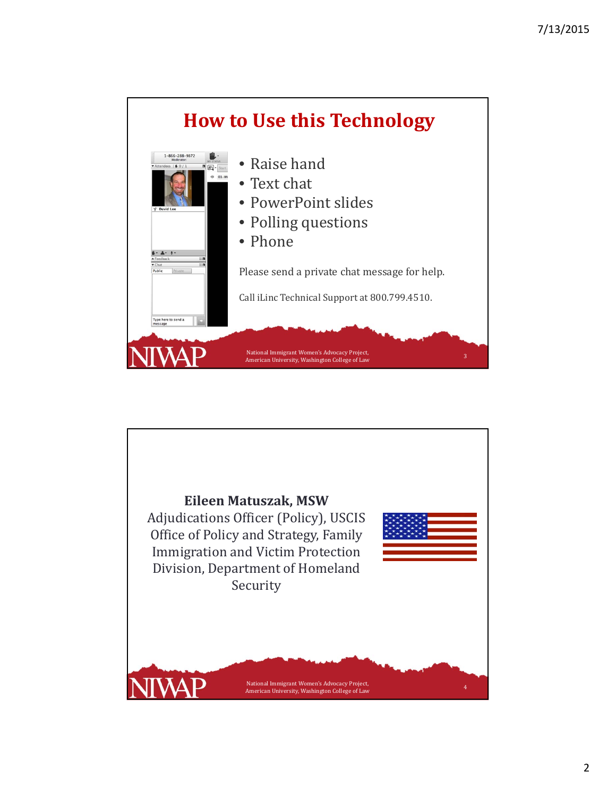

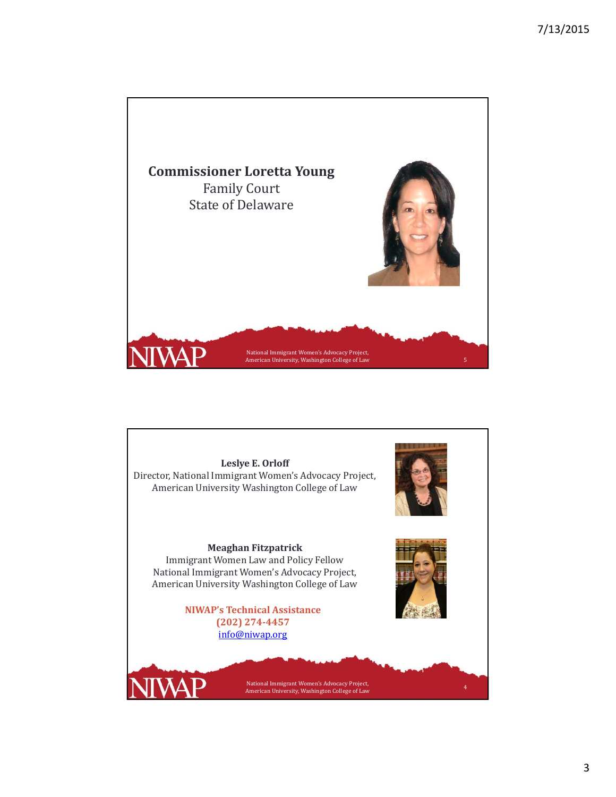

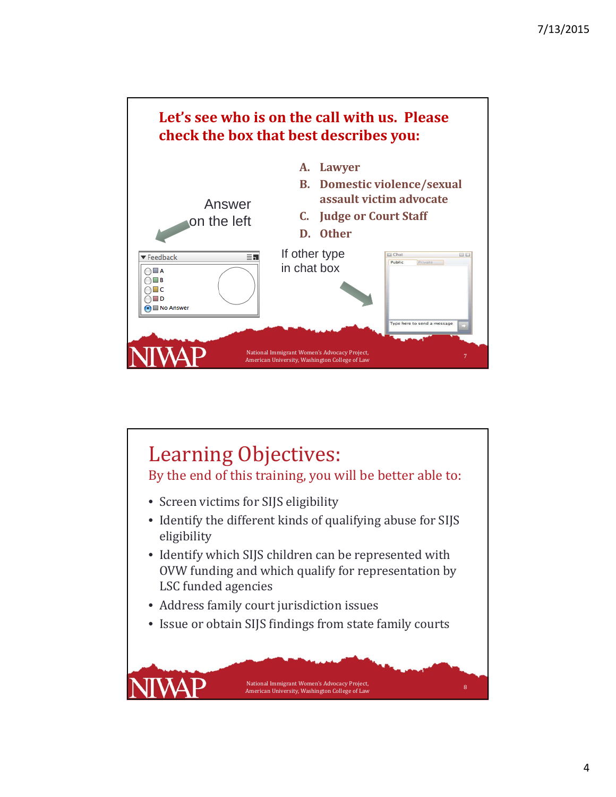

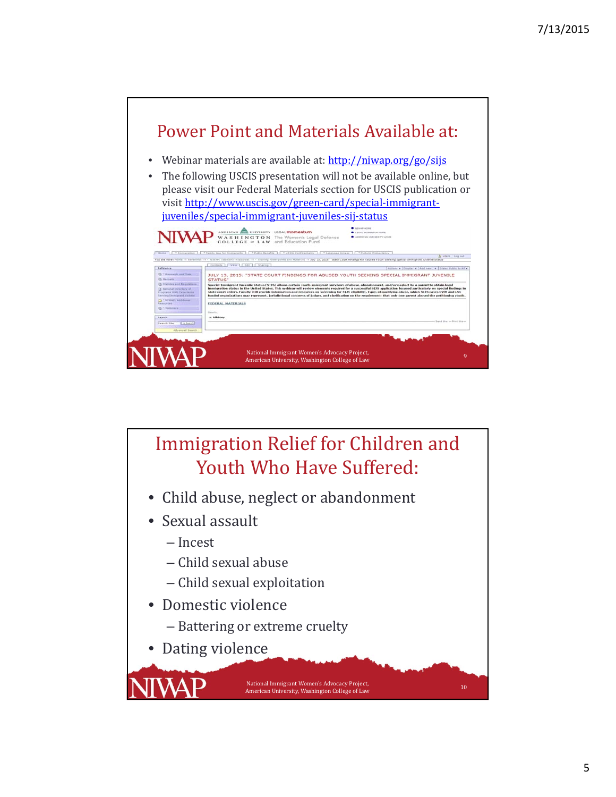

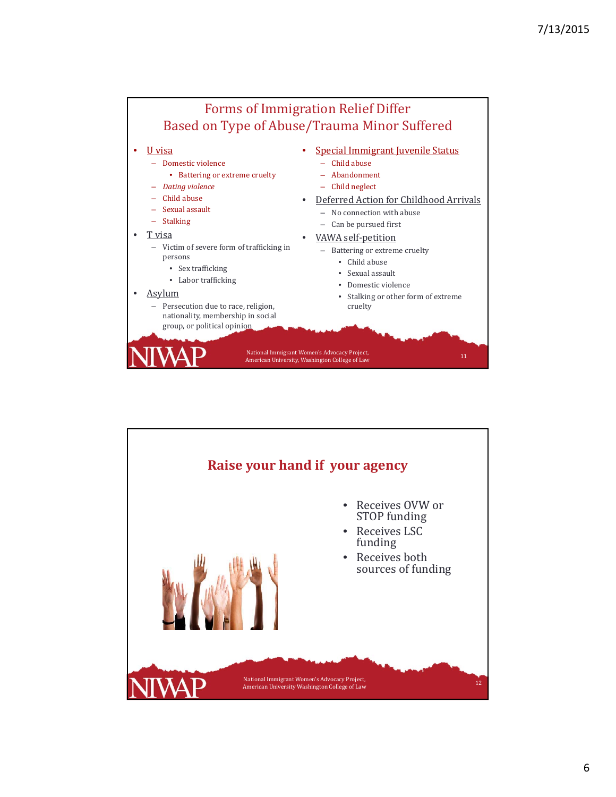

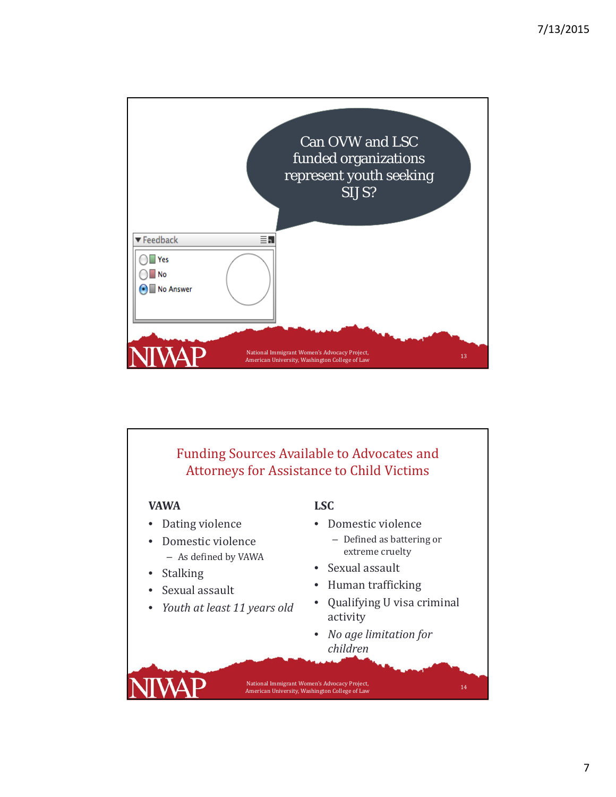

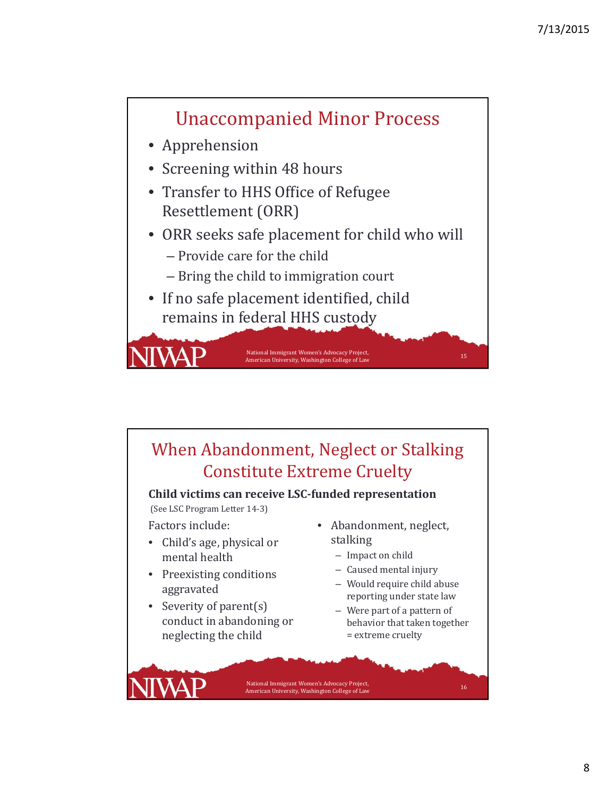

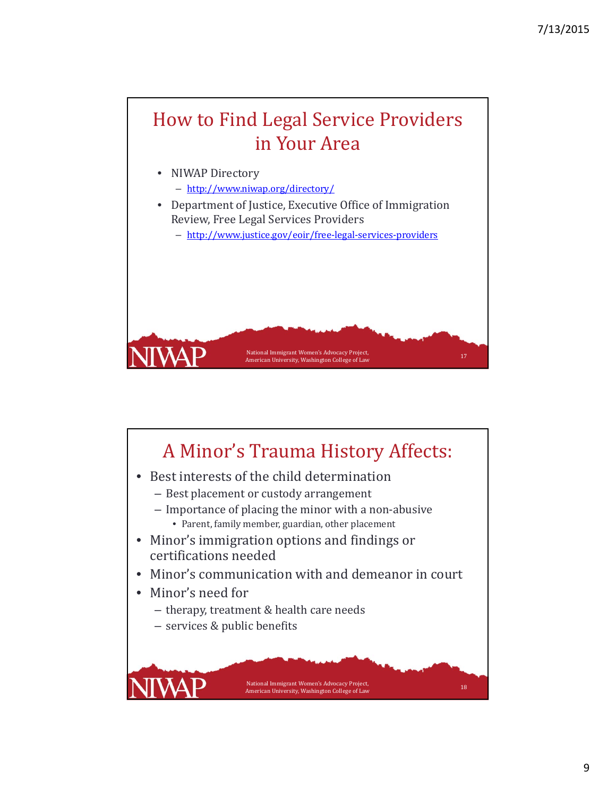## How to Find Legal Service Providers in Your Area

- NIWAP Directory
	- http://www.niwap.org/directory/
- Department of Justice, Executive Office of Immigration Review, Free Legal Services Providers
	- http://www.justice.gov/eoir/free‐legal‐services‐providers

National Immigrant Women's Advocacy Project,<br>American University, Washington College of Law

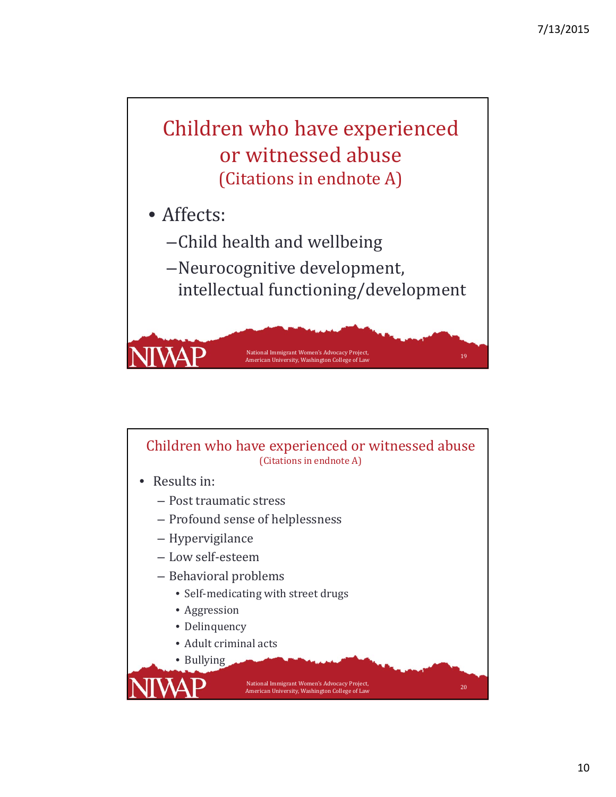

- Affects:
	- –Child health and wellbeing
	- -Neurocognitive development, intellectual functioning/development

National Immigrant Women's Advocacy Project,<br>American University, Washington College of Law

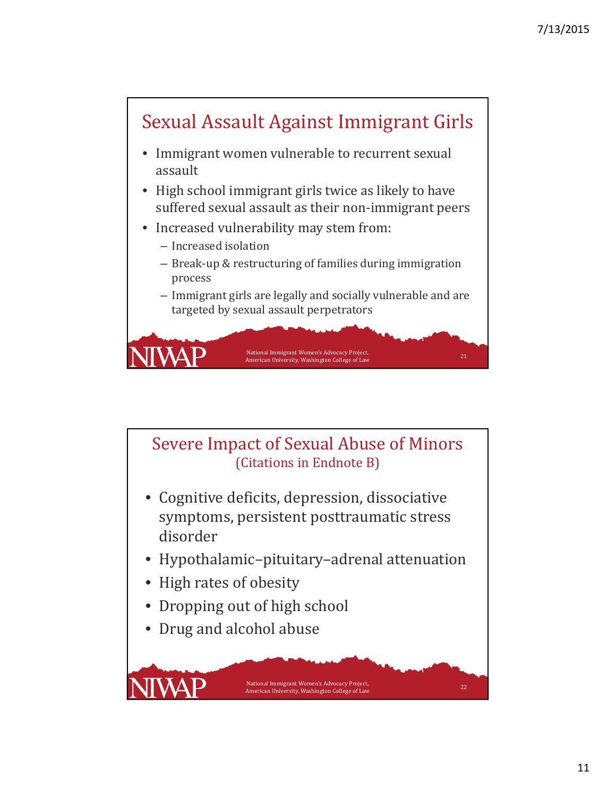

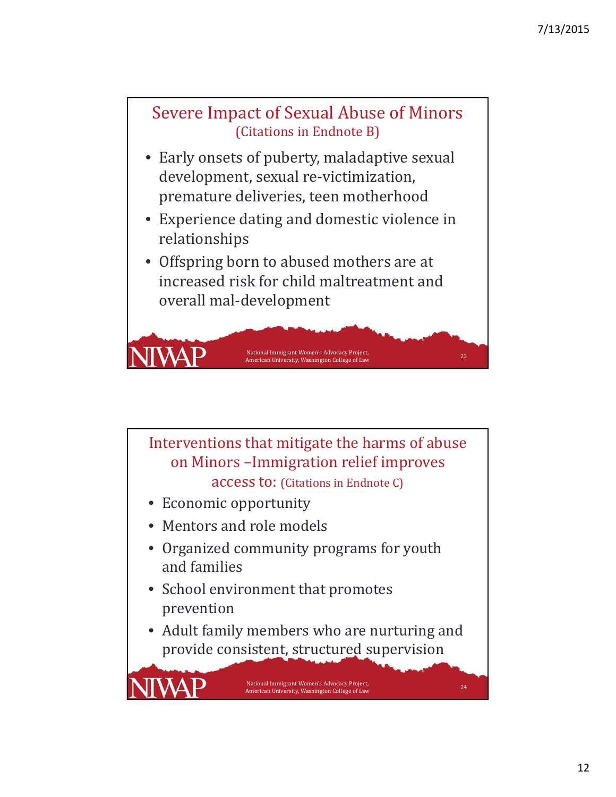

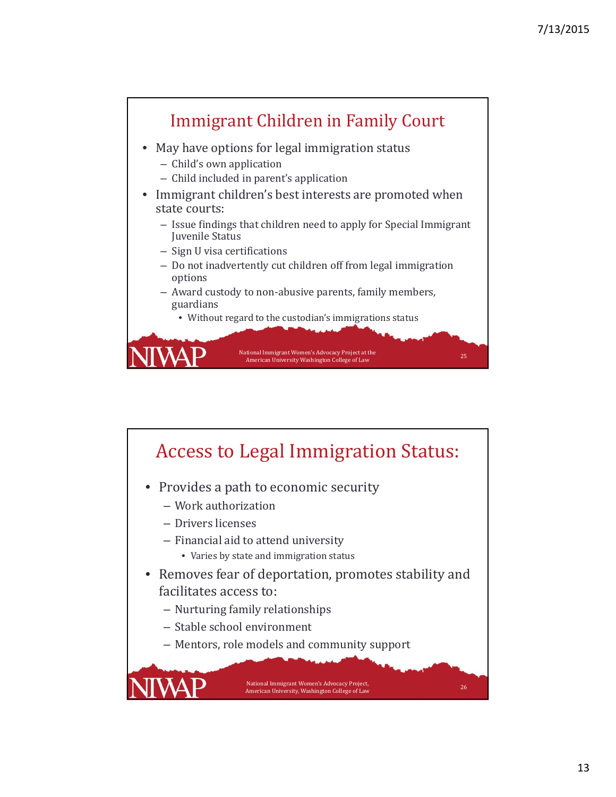

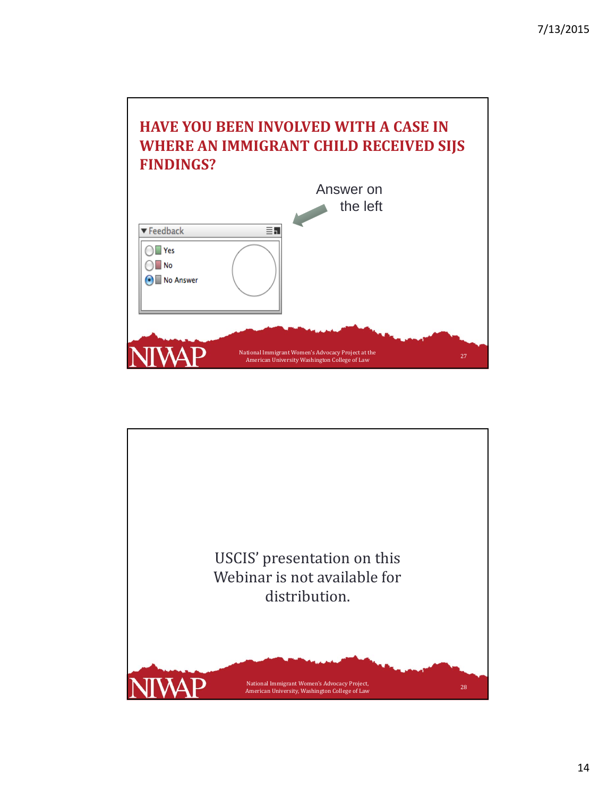## **HAVE YOU BEEN INVOLVED WITH A CASE IN WHERE AN IMMIGRANT CHILD RECEIVED SIJS FINDINGS?**



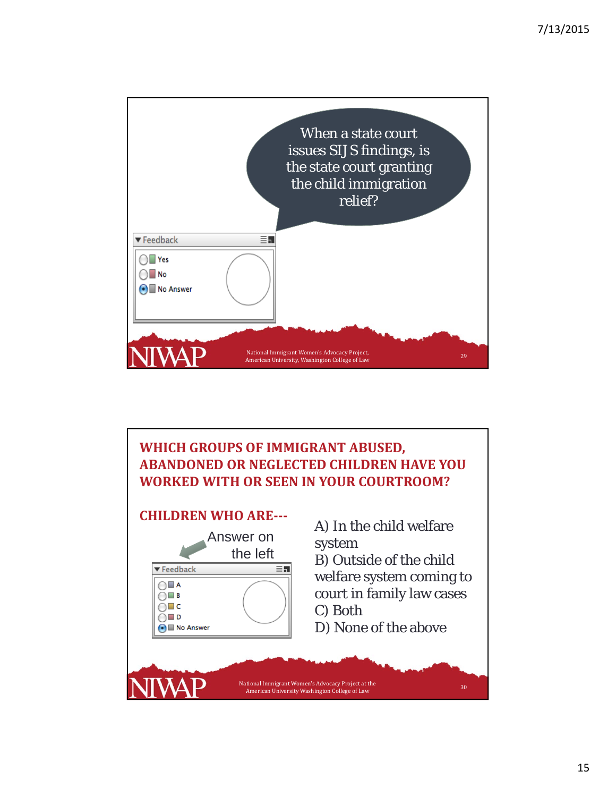

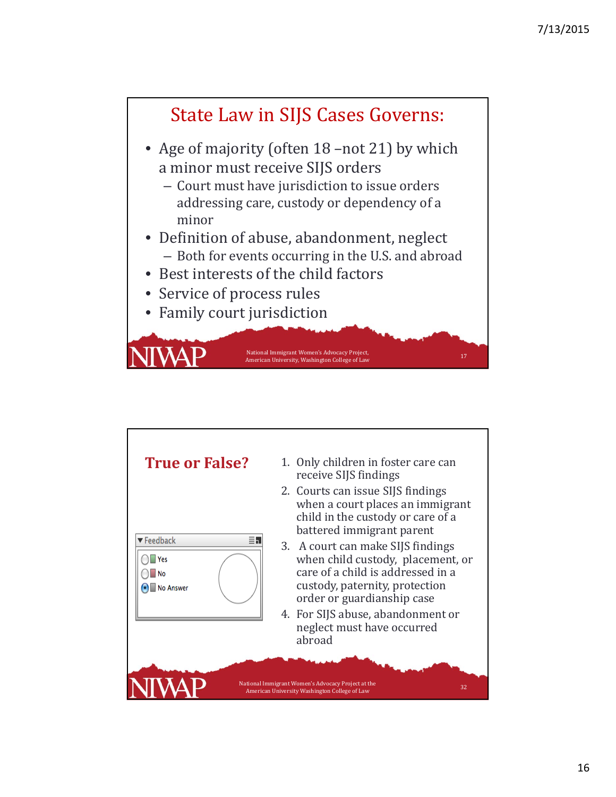

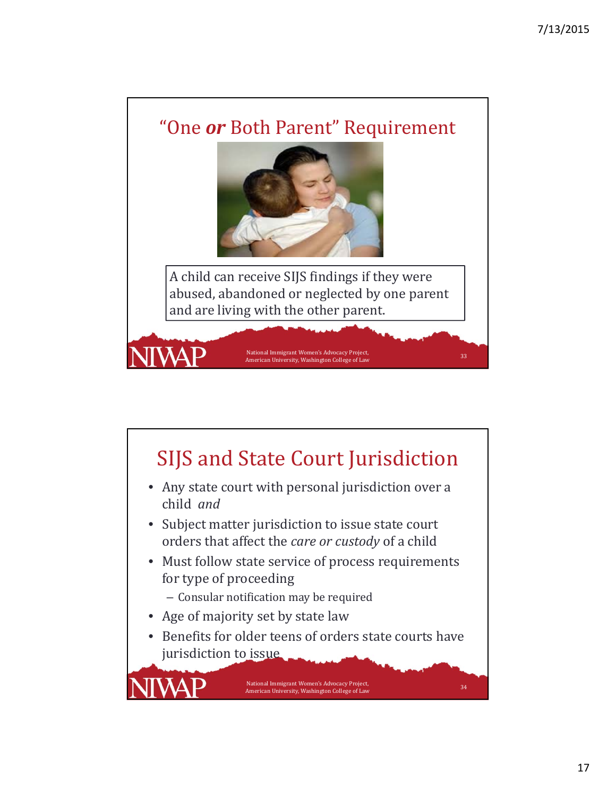

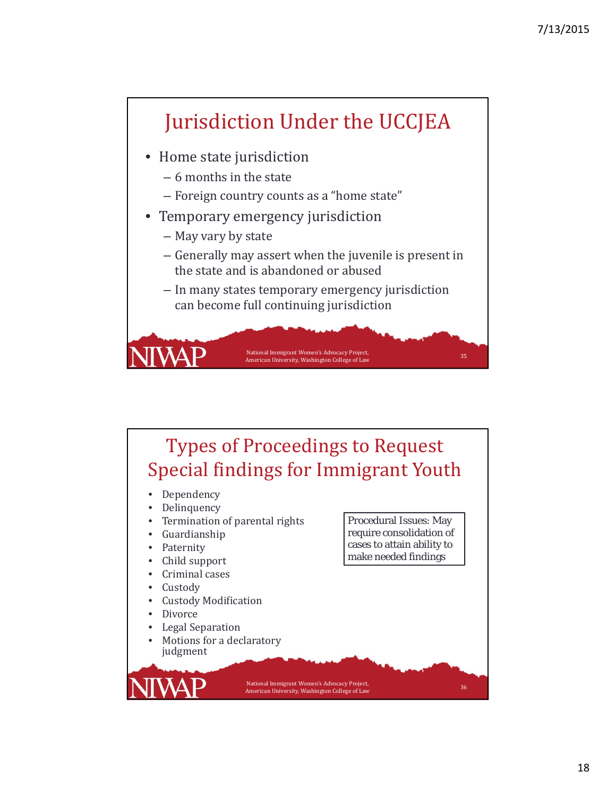

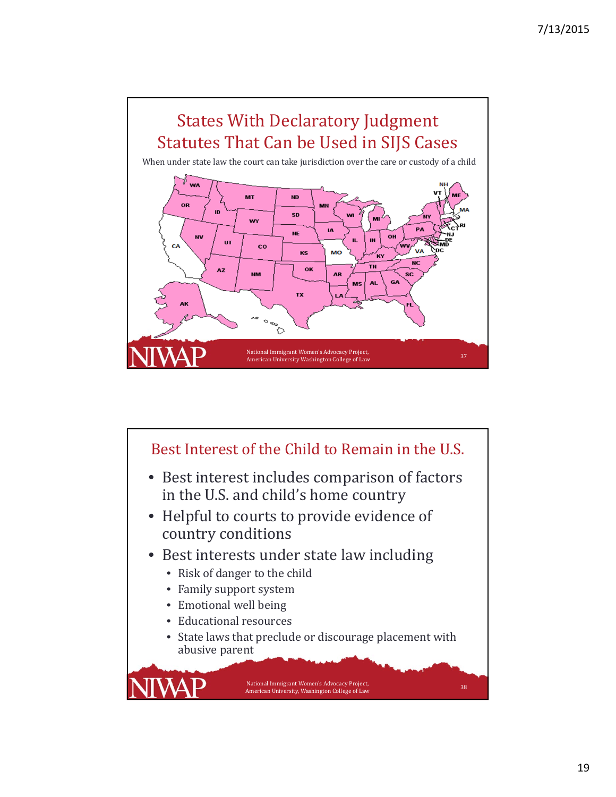

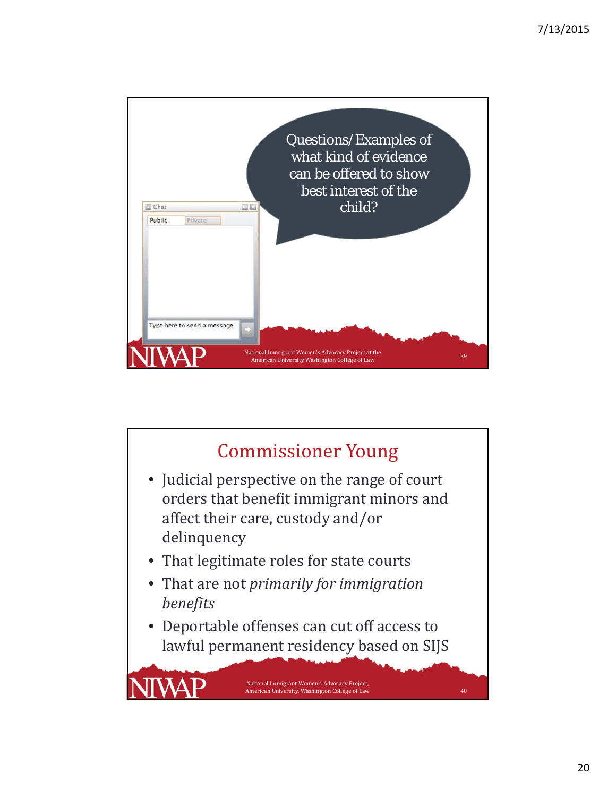

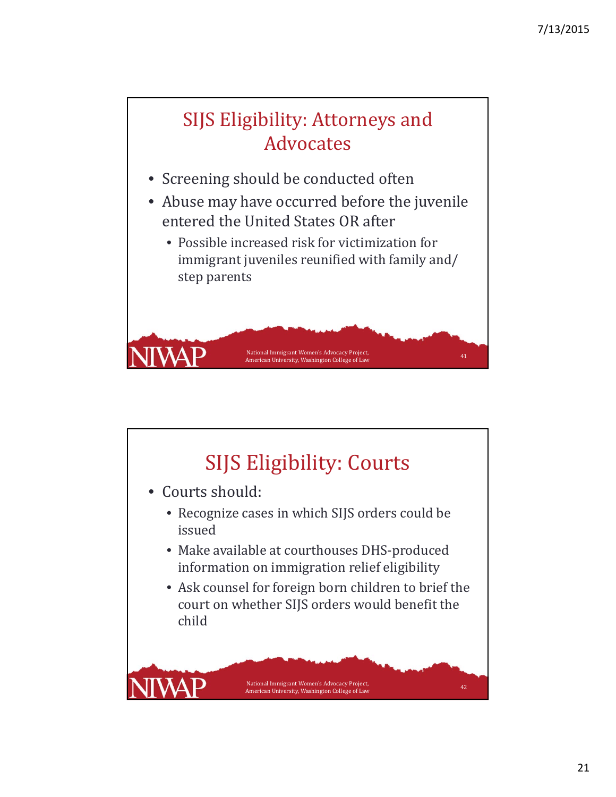

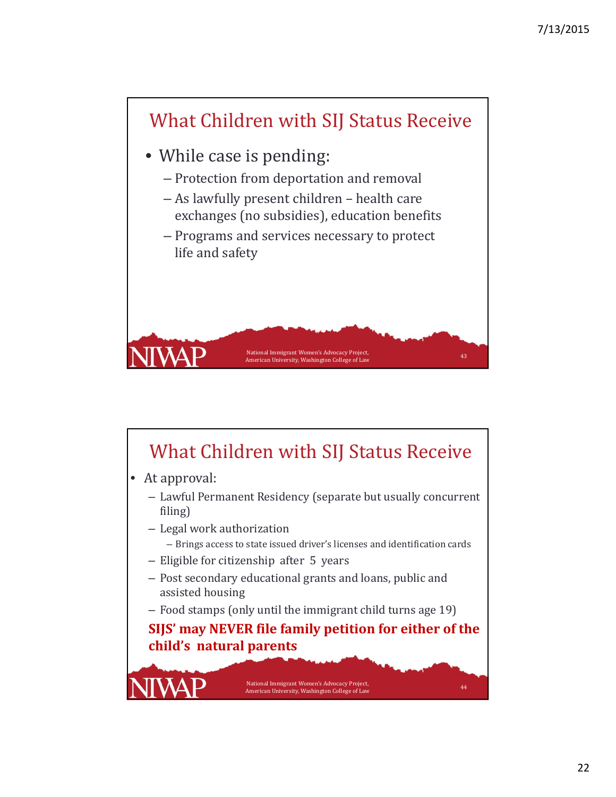

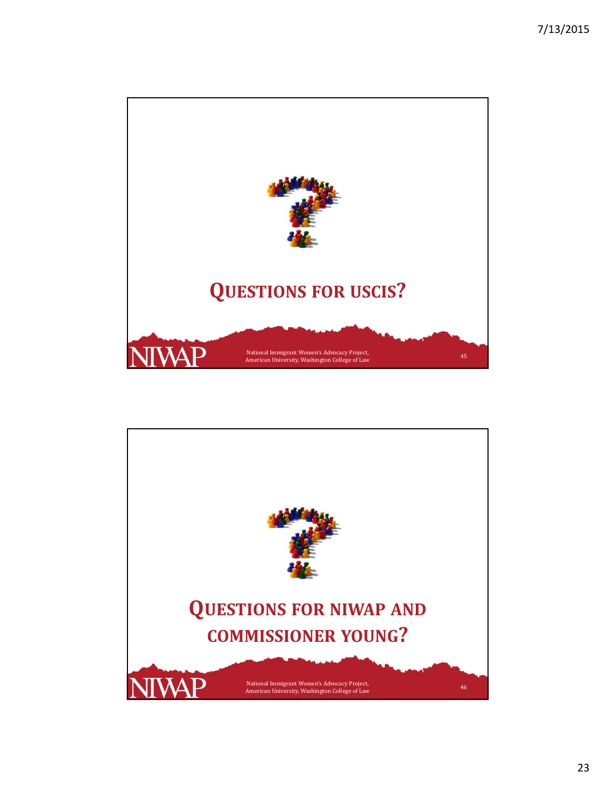

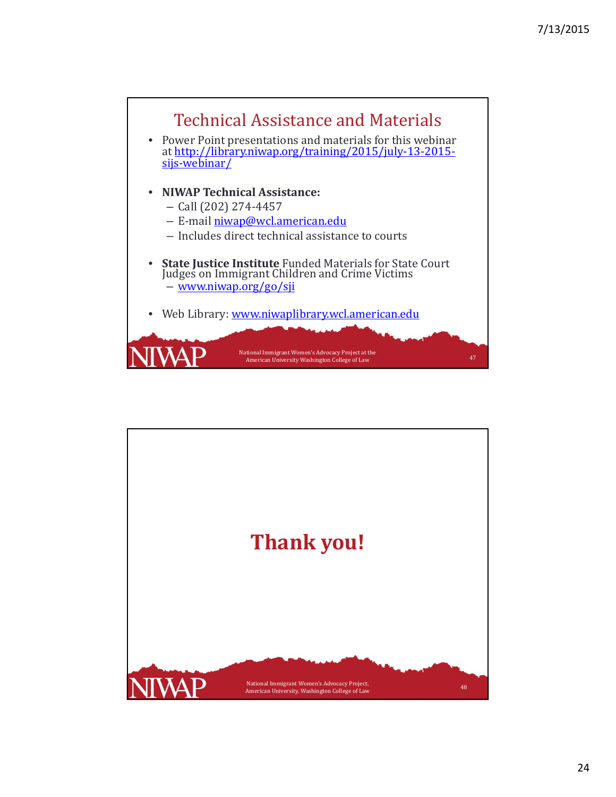

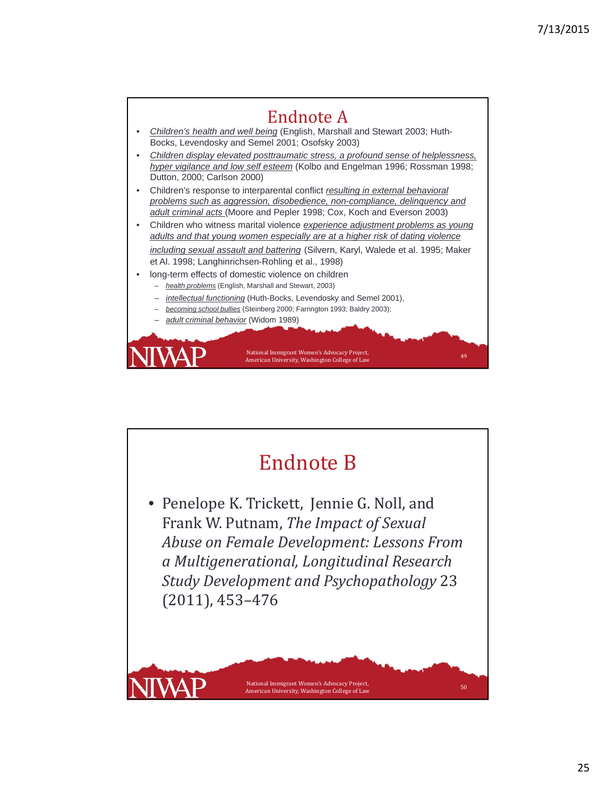